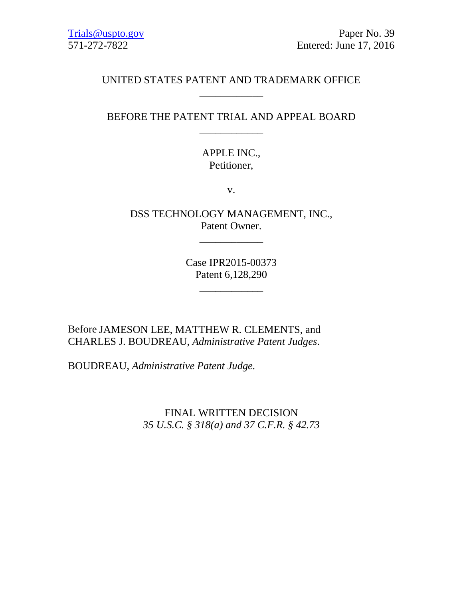# UNITED STATES PATENT AND TRADEMARK OFFICE \_\_\_\_\_\_\_\_\_\_\_\_

# BEFORE THE PATENT TRIAL AND APPEAL BOARD \_\_\_\_\_\_\_\_\_\_\_\_

# APPLE INC., Petitioner,

v.

DSS TECHNOLOGY MANAGEMENT, INC., Patent Owner.

 $\overline{\phantom{a}}$  , where  $\overline{\phantom{a}}$  , where  $\overline{\phantom{a}}$ 

Case IPR2015-00373 Patent 6,128,290

\_\_\_\_\_\_\_\_\_\_\_\_

Before JAMESON LEE, MATTHEW R. CLEMENTS, and CHARLES J. BOUDREAU, *Administrative Patent Judges*.

BOUDREAU, *Administrative Patent Judge.*

FINAL WRITTEN DECISION *35 U.S.C. § 318(a) and 37 C.F.R. § 42.73*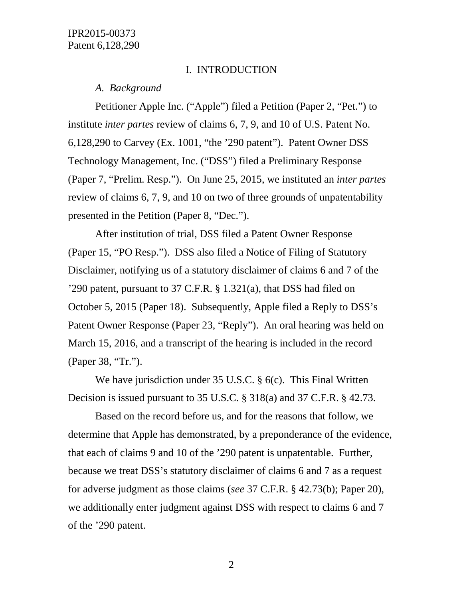#### I. INTRODUCTION

#### *A. Background*

Petitioner Apple Inc. ("Apple") filed a Petition (Paper 2, "Pet.") to institute *inter partes* review of claims 6, 7, 9, and 10 of U.S. Patent No. 6,128,290 to Carvey (Ex. 1001, "the '290 patent"). Patent Owner DSS Technology Management, Inc. ("DSS") filed a Preliminary Response (Paper 7, "Prelim. Resp."). On June 25, 2015, we instituted an *inter partes* review of claims 6, 7, 9, and 10 on two of three grounds of unpatentability presented in the Petition (Paper 8, "Dec.").

After institution of trial, DSS filed a Patent Owner Response (Paper 15, "PO Resp."). DSS also filed a Notice of Filing of Statutory Disclaimer, notifying us of a statutory disclaimer of claims 6 and 7 of the '290 patent, pursuant to 37 C.F.R. § 1.321(a), that DSS had filed on October 5, 2015 (Paper 18). Subsequently, Apple filed a Reply to DSS's Patent Owner Response (Paper 23, "Reply"). An oral hearing was held on March 15, 2016, and a transcript of the hearing is included in the record (Paper 38, "Tr.").

We have jurisdiction under 35 U.S.C. § 6(c). This Final Written Decision is issued pursuant to 35 U.S.C. § 318(a) and 37 C.F.R. § 42.73.

Based on the record before us, and for the reasons that follow, we determine that Apple has demonstrated, by a preponderance of the evidence, that each of claims 9 and 10 of the '290 patent is unpatentable. Further, because we treat DSS's statutory disclaimer of claims 6 and 7 as a request for adverse judgment as those claims (*see* 37 C.F.R. § 42.73(b); Paper 20), we additionally enter judgment against DSS with respect to claims 6 and 7 of the '290 patent.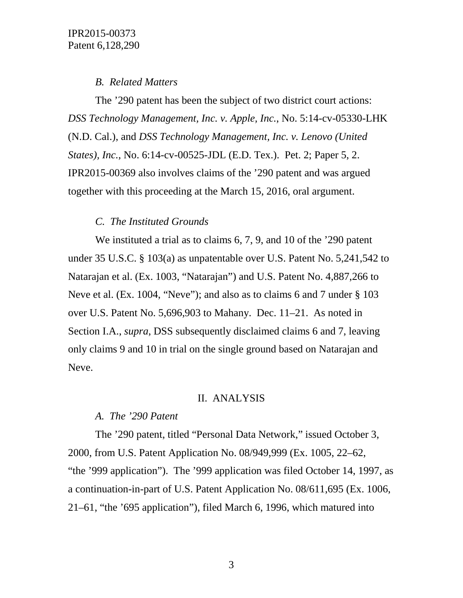## *B. Related Matters*

The '290 patent has been the subject of two district court actions: *DSS Technology Management, Inc. v. Apple, Inc.*, No. 5:14-cv-05330-LHK (N.D. Cal.), and *DSS Technology Management, Inc. v. Lenovo (United States), Inc.*, No. 6:14-cv-00525-JDL (E.D. Tex.). Pet. 2; Paper 5, 2. IPR2015-00369 also involves claims of the '290 patent and was argued together with this proceeding at the March 15, 2016, oral argument.

# *C. The Instituted Grounds*

We instituted a trial as to claims 6, 7, 9, and 10 of the '290 patent under 35 U.S.C. § 103(a) as unpatentable over U.S. Patent No. 5,241,542 to Natarajan et al. (Ex. 1003, "Natarajan") and U.S. Patent No. 4,887,266 to Neve et al. (Ex. 1004, "Neve"); and also as to claims 6 and 7 under § 103 over U.S. Patent No. 5,696,903 to Mahany. Dec. 11–21. As noted in Section I.A., *supra*, DSS subsequently disclaimed claims 6 and 7, leaving only claims 9 and 10 in trial on the single ground based on Natarajan and Neve.

# II. ANALYSIS

# *A. The '290 Patent*

The '290 patent, titled "Personal Data Network," issued October 3, 2000, from U.S. Patent Application No. 08/949,999 (Ex. 1005, 22–62, "the '999 application"). The '999 application was filed October 14, 1997, as a continuation-in-part of U.S. Patent Application No. 08/611,695 (Ex. 1006, 21–61, "the '695 application"), filed March 6, 1996, which matured into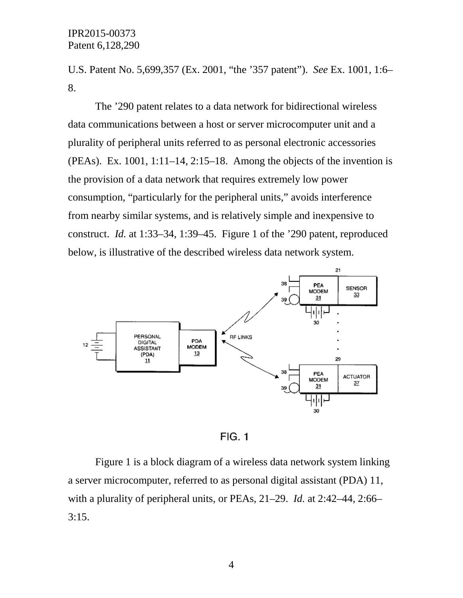U.S. Patent No. 5,699,357 (Ex. 2001, "the '357 patent"). *See* Ex. 1001, 1:6– 8.

The '290 patent relates to a data network for bidirectional wireless data communications between a host or server microcomputer unit and a plurality of peripheral units referred to as personal electronic accessories (PEAs). Ex. 1001, 1:11–14, 2:15–18. Among the objects of the invention is the provision of a data network that requires extremely low power consumption, "particularly for the peripheral units," avoids interference from nearby similar systems, and is relatively simple and inexpensive to construct. *Id.* at 1:33–34, 1:39–45. Figure 1 of the '290 patent, reproduced below, is illustrative of the described wireless data network system.



 $FIG. 1$ 

Figure 1 is a block diagram of a wireless data network system linking a server microcomputer, referred to as personal digital assistant (PDA) 11, with a plurality of peripheral units, or PEAs, 21–29. *Id.* at 2:42–44, 2:66– 3:15.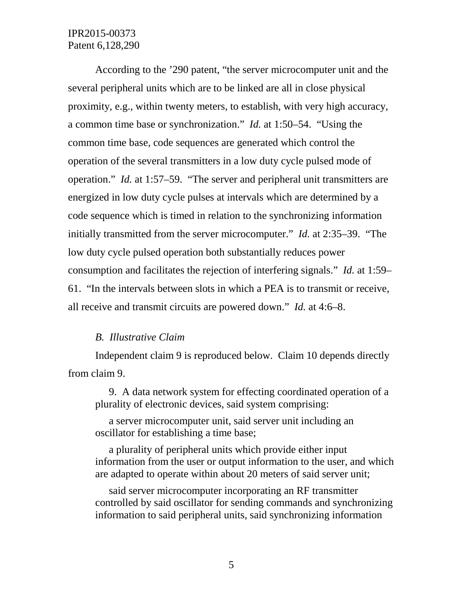According to the '290 patent, "the server microcomputer unit and the several peripheral units which are to be linked are all in close physical proximity, e.g., within twenty meters, to establish, with very high accuracy, a common time base or synchronization." *Id.* at 1:50–54. "Using the common time base, code sequences are generated which control the operation of the several transmitters in a low duty cycle pulsed mode of operation." *Id.* at 1:57–59. "The server and peripheral unit transmitters are energized in low duty cycle pulses at intervals which are determined by a code sequence which is timed in relation to the synchronizing information initially transmitted from the server microcomputer." *Id.* at 2:35–39. "The low duty cycle pulsed operation both substantially reduces power consumption and facilitates the rejection of interfering signals." *Id.* at 1:59– 61. "In the intervals between slots in which a PEA is to transmit or receive, all receive and transmit circuits are powered down." *Id.* at 4:6–8.

### *B. Illustrative Claim*

Independent claim 9 is reproduced below. Claim 10 depends directly from claim 9.

9. A data network system for effecting coordinated operation of a plurality of electronic devices, said system comprising:

a server microcomputer unit, said server unit including an oscillator for establishing a time base;

a plurality of peripheral units which provide either input information from the user or output information to the user, and which are adapted to operate within about 20 meters of said server unit;

said server microcomputer incorporating an RF transmitter controlled by said oscillator for sending commands and synchronizing information to said peripheral units, said synchronizing information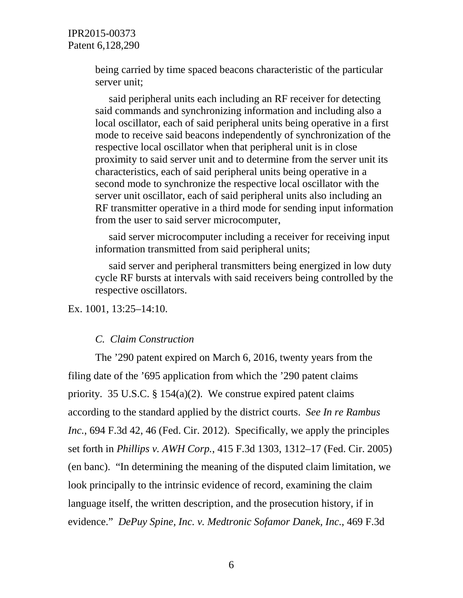> being carried by time spaced beacons characteristic of the particular server unit;

said peripheral units each including an RF receiver for detecting said commands and synchronizing information and including also a local oscillator, each of said peripheral units being operative in a first mode to receive said beacons independently of synchronization of the respective local oscillator when that peripheral unit is in close proximity to said server unit and to determine from the server unit its characteristics, each of said peripheral units being operative in a second mode to synchronize the respective local oscillator with the server unit oscillator, each of said peripheral units also including an RF transmitter operative in a third mode for sending input information from the user to said server microcomputer,

said server microcomputer including a receiver for receiving input information transmitted from said peripheral units;

said server and peripheral transmitters being energized in low duty cycle RF bursts at intervals with said receivers being controlled by the respective oscillators.

Ex. 1001, 13:25–14:10.

#### *C. Claim Construction*

The '290 patent expired on March 6, 2016, twenty years from the filing date of the '695 application from which the '290 patent claims priority. 35 U.S.C. § 154(a)(2). We construe expired patent claims according to the standard applied by the district courts. *See In re Rambus Inc.*, 694 F.3d 42, 46 (Fed. Cir. 2012). Specifically, we apply the principles set forth in *Phillips v. AWH Corp.*, 415 F.3d 1303, 1312–17 (Fed. Cir. 2005) (en banc). "In determining the meaning of the disputed claim limitation, we look principally to the intrinsic evidence of record, examining the claim language itself, the written description, and the prosecution history, if in evidence." *DePuy Spine, Inc. v. Medtronic Sofamor Danek, Inc.*, 469 F.3d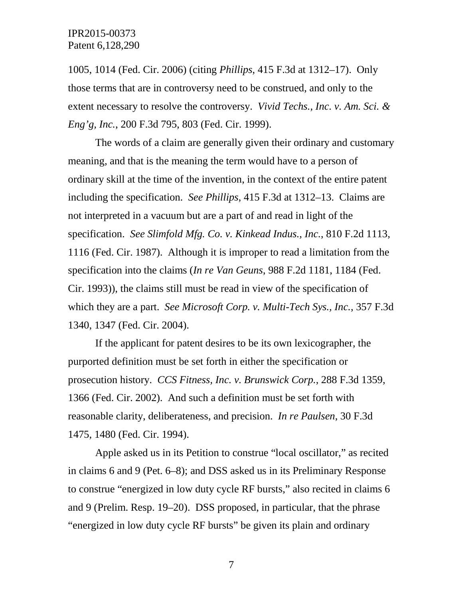1005, 1014 (Fed. Cir. 2006) (citing *Phillips*, 415 F.3d at 1312–17). Only those terms that are in controversy need to be construed, and only to the extent necessary to resolve the controversy. *Vivid Techs., Inc. v. Am. Sci. & Eng'g, Inc.*, 200 F.3d 795, 803 (Fed. Cir. 1999).

The words of a claim are generally given their ordinary and customary meaning, and that is the meaning the term would have to a person of ordinary skill at the time of the invention, in the context of the entire patent including the specification. *See Phillips*, 415 F.3d at 1312–13. Claims are not interpreted in a vacuum but are a part of and read in light of the specification. *See Slimfold Mfg. Co. v. Kinkead Indus., Inc.*, 810 F.2d 1113, 1116 (Fed. Cir. 1987). Although it is improper to read a limitation from the specification into the claims (*In re Van Geuns*, 988 F.2d 1181, 1184 (Fed. Cir. 1993)), the claims still must be read in view of the specification of which they are a part. *See Microsoft Corp. v. Multi-Tech Sys., Inc.*, 357 F.3d 1340, 1347 (Fed. Cir. 2004).

If the applicant for patent desires to be its own lexicographer, the purported definition must be set forth in either the specification or prosecution history. *CCS Fitness, Inc. v. Brunswick Corp.*, 288 F.3d 1359, 1366 (Fed. Cir. 2002). And such a definition must be set forth with reasonable clarity, deliberateness, and precision. *In re Paulsen*, 30 F.3d 1475, 1480 (Fed. Cir. 1994).

Apple asked us in its Petition to construe "local oscillator," as recited in claims 6 and 9 (Pet. 6–8); and DSS asked us in its Preliminary Response to construe "energized in low duty cycle RF bursts," also recited in claims 6 and 9 (Prelim. Resp. 19–20). DSS proposed, in particular, that the phrase "energized in low duty cycle RF bursts" be given its plain and ordinary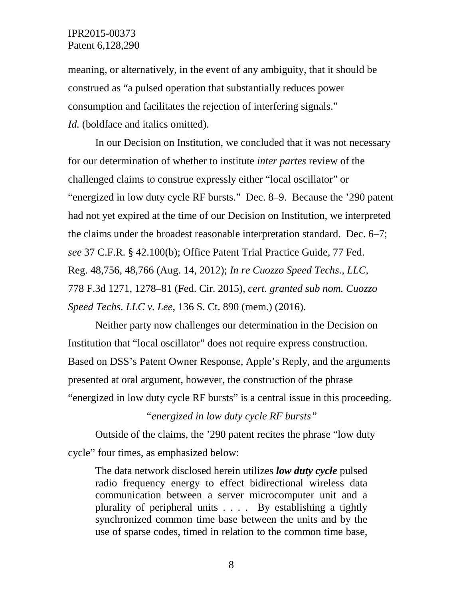meaning, or alternatively, in the event of any ambiguity, that it should be construed as "a pulsed operation that substantially reduces power consumption and facilitates the rejection of interfering signals." *Id.* (boldface and italics omitted).

In our Decision on Institution, we concluded that it was not necessary for our determination of whether to institute *inter partes* review of the challenged claims to construe expressly either "local oscillator" or "energized in low duty cycle RF bursts." Dec. 8–9. Because the '290 patent had not yet expired at the time of our Decision on Institution, we interpreted the claims under the broadest reasonable interpretation standard. Dec. 6–7; *see* 37 C.F.R. § 42.100(b); Office Patent Trial Practice Guide, 77 Fed. Reg. 48,756, 48,766 (Aug. 14, 2012); *In re Cuozzo Speed Techs., LLC*, 778 F.3d 1271, 1278–81 (Fed. Cir. 2015), *cert. granted sub nom. Cuozzo Speed Techs. LLC v. Lee*, 136 S. Ct. 890 (mem.) (2016).

Neither party now challenges our determination in the Decision on Institution that "local oscillator" does not require express construction. Based on DSS's Patent Owner Response, Apple's Reply, and the arguments presented at oral argument, however, the construction of the phrase "energized in low duty cycle RF bursts" is a central issue in this proceeding.

*"energized in low duty cycle RF bursts"*

Outside of the claims, the '290 patent recites the phrase "low duty cycle" four times, as emphasized below:

The data network disclosed herein utilizes *low duty cycle* pulsed radio frequency energy to effect bidirectional wireless data communication between a server microcomputer unit and a plurality of peripheral units . . . . By establishing a tightly synchronized common time base between the units and by the use of sparse codes, timed in relation to the common time base,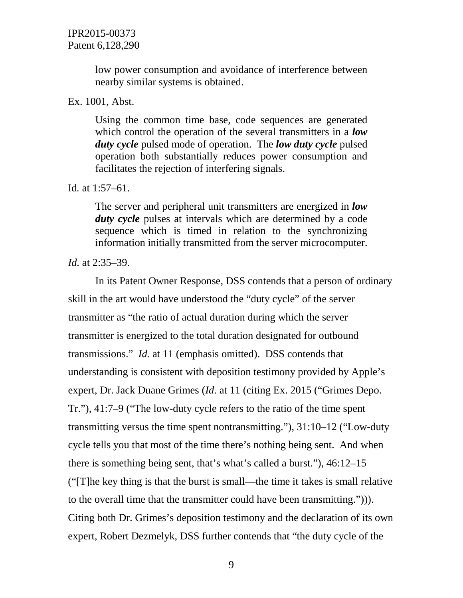low power consumption and avoidance of interference between nearby similar systems is obtained.

#### Ex. 1001, Abst.

Using the common time base, code sequences are generated which control the operation of the several transmitters in a *low duty cycle* pulsed mode of operation. The *low duty cycle* pulsed operation both substantially reduces power consumption and facilitates the rejection of interfering signals.

### Id*.* at 1:57–61.

The server and peripheral unit transmitters are energized in *low duty cycle* pulses at intervals which are determined by a code sequence which is timed in relation to the synchronizing information initially transmitted from the server microcomputer.

## *Id.* at 2:35–39.

In its Patent Owner Response, DSS contends that a person of ordinary skill in the art would have understood the "duty cycle" of the server transmitter as "the ratio of actual duration during which the server transmitter is energized to the total duration designated for outbound transmissions." *Id.* at 11 (emphasis omitted). DSS contends that understanding is consistent with deposition testimony provided by Apple's expert, Dr. Jack Duane Grimes (*Id.* at 11 (citing Ex. 2015 ("Grimes Depo. Tr."), 41:7–9 ("The low-duty cycle refers to the ratio of the time spent transmitting versus the time spent nontransmitting."), 31:10–12 ("Low-duty cycle tells you that most of the time there's nothing being sent. And when there is something being sent, that's what's called a burst."), 46:12–15 ("[T]he key thing is that the burst is small—the time it takes is small relative to the overall time that the transmitter could have been transmitting."))). Citing both Dr. Grimes's deposition testimony and the declaration of its own expert, Robert Dezmelyk, DSS further contends that "the duty cycle of the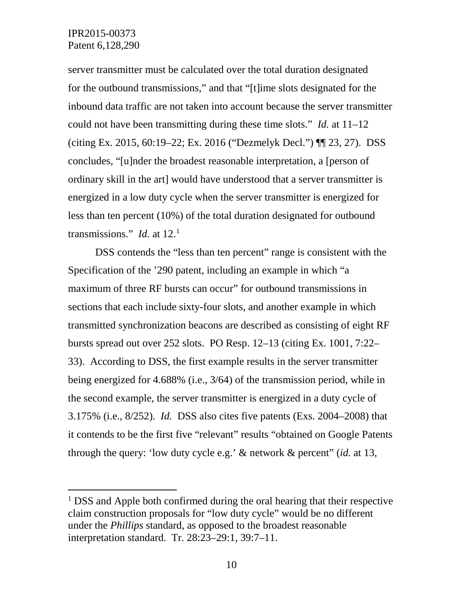server transmitter must be calculated over the total duration designated for the outbound transmissions," and that "[t]ime slots designated for the inbound data traffic are not taken into account because the server transmitter could not have been transmitting during these time slots." *Id.* at 11–12 (citing Ex. 2015, 60:19–22; Ex. 2016 ("Dezmelyk Decl.") ¶¶ 23, 27). DSS concludes, "[u]nder the broadest reasonable interpretation, a [person of ordinary skill in the art] would have understood that a server transmitter is energized in a low duty cycle when the server transmitter is energized for less than ten percent (10%) of the total duration designated for outbound transmissions." *Id.* at 12.[1](#page-9-0)

DSS contends the "less than ten percent" range is consistent with the Specification of the '290 patent, including an example in which "a maximum of three RF bursts can occur" for outbound transmissions in sections that each include sixty-four slots, and another example in which transmitted synchronization beacons are described as consisting of eight RF bursts spread out over 252 slots. PO Resp. 12–13 (citing Ex. 1001, 7:22– 33). According to DSS, the first example results in the server transmitter being energized for 4.688% (i.e., 3/64) of the transmission period, while in the second example, the server transmitter is energized in a duty cycle of 3.175% (i.e., 8/252). *Id.* DSS also cites five patents (Exs. 2004–2008) that it contends to be the first five "relevant" results "obtained on Google Patents through the query: 'low duty cycle e.g.' & network & percent" (*id.* at 13,

<span id="page-9-0"></span><sup>&</sup>lt;sup>1</sup> DSS and Apple both confirmed during the oral hearing that their respective claim construction proposals for "low duty cycle" would be no different under the *Phillips* standard, as opposed to the broadest reasonable interpretation standard. Tr. 28:23–29:1, 39:7–11.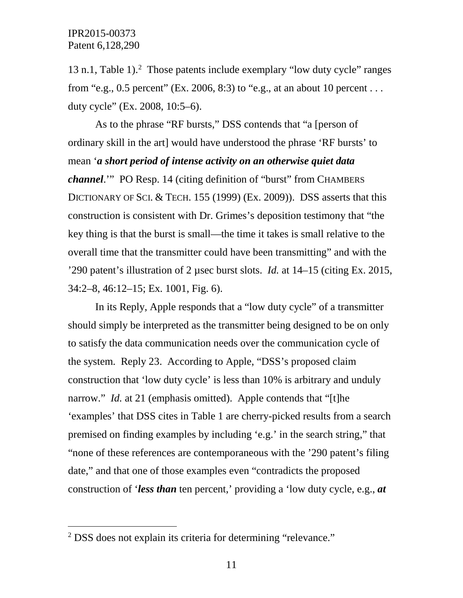13 n.1, Table 1). [2](#page-10-0) Those patents include exemplary "low duty cycle" ranges from "e.g., 0.5 percent" (Ex. 2006, 8:3) to "e.g., at an about 10 percent ... duty cycle" (Ex. 2008, 10:5–6).

As to the phrase "RF bursts," DSS contends that "a [person of ordinary skill in the art] would have understood the phrase 'RF bursts' to mean '*a short period of intense activity on an otherwise quiet data channel*.'" PO Resp. 14 (citing definition of "burst" from CHAMBERS DICTIONARY OF SCI. & TECH. 155 (1999) (Ex. 2009)). DSS asserts that this construction is consistent with Dr. Grimes's deposition testimony that "the key thing is that the burst is small—the time it takes is small relative to the overall time that the transmitter could have been transmitting" and with the '290 patent's illustration of 2 µsec burst slots. *Id.* at 14–15 (citing Ex. 2015, 34:2–8, 46:12–15; Ex. 1001, Fig. 6).

In its Reply, Apple responds that a "low duty cycle" of a transmitter should simply be interpreted as the transmitter being designed to be on only to satisfy the data communication needs over the communication cycle of the system. Reply 23. According to Apple, "DSS's proposed claim construction that 'low duty cycle' is less than 10% is arbitrary and unduly narrow." *Id.* at 21 (emphasis omitted). Apple contends that "[t]he 'examples' that DSS cites in Table 1 are cherry-picked results from a search premised on finding examples by including 'e.g.' in the search string," that "none of these references are contemporaneous with the '290 patent's filing date," and that one of those examples even "contradicts the proposed construction of '*less than* ten percent,' providing a 'low duty cycle, e.g., *at*

<span id="page-10-0"></span> <sup>2</sup> DSS does not explain its criteria for determining "relevance."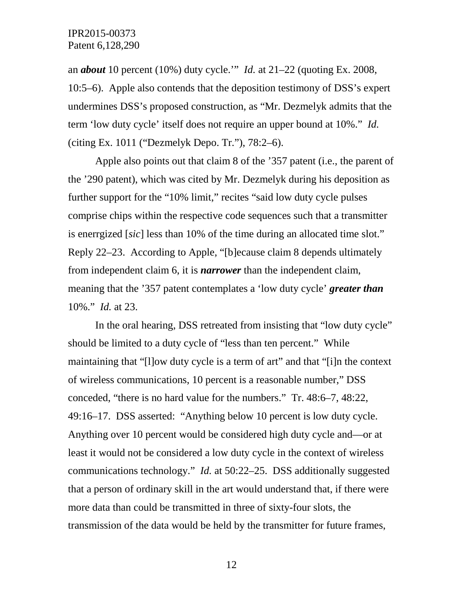an *about* 10 percent (10%) duty cycle.'" *Id.* at 21–22 (quoting Ex. 2008, 10:5–6). Apple also contends that the deposition testimony of DSS's expert undermines DSS's proposed construction, as "Mr. Dezmelyk admits that the term 'low duty cycle' itself does not require an upper bound at 10%." *Id.* (citing Ex. 1011 ("Dezmelyk Depo. Tr."), 78:2–6).

Apple also points out that claim 8 of the '357 patent (i.e., the parent of the '290 patent), which was cited by Mr. Dezmelyk during his deposition as further support for the "10% limit," recites "said low duty cycle pulses comprise chips within the respective code sequences such that a transmitter is enerrgized [*sic*] less than 10% of the time during an allocated time slot." Reply 22–23. According to Apple, "[b]ecause claim 8 depends ultimately from independent claim 6, it is *narrower* than the independent claim, meaning that the '357 patent contemplates a 'low duty cycle' *greater than*  10%." *Id.* at 23.

In the oral hearing, DSS retreated from insisting that "low duty cycle" should be limited to a duty cycle of "less than ten percent." While maintaining that "[l]ow duty cycle is a term of art" and that "[i]n the context of wireless communications, 10 percent is a reasonable number," DSS conceded, "there is no hard value for the numbers." Tr. 48:6–7, 48:22, 49:16–17. DSS asserted: "Anything below 10 percent is low duty cycle. Anything over 10 percent would be considered high duty cycle and—or at least it would not be considered a low duty cycle in the context of wireless communications technology." *Id.* at 50:22–25. DSS additionally suggested that a person of ordinary skill in the art would understand that, if there were more data than could be transmitted in three of sixty-four slots, the transmission of the data would be held by the transmitter for future frames,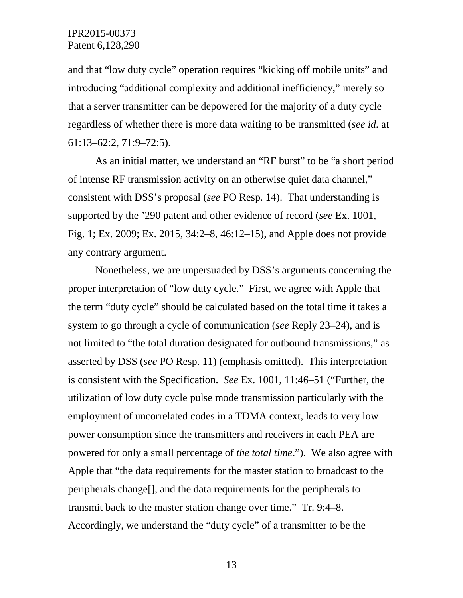and that "low duty cycle" operation requires "kicking off mobile units" and introducing "additional complexity and additional inefficiency," merely so that a server transmitter can be depowered for the majority of a duty cycle regardless of whether there is more data waiting to be transmitted (*see id.* at 61:13–62:2, 71:9–72:5).

As an initial matter, we understand an "RF burst" to be "a short period of intense RF transmission activity on an otherwise quiet data channel," consistent with DSS's proposal (*see* PO Resp. 14). That understanding is supported by the '290 patent and other evidence of record (*see* Ex. 1001, Fig. 1; Ex. 2009; Ex. 2015, 34:2–8, 46:12–15), and Apple does not provide any contrary argument.

Nonetheless, we are unpersuaded by DSS's arguments concerning the proper interpretation of "low duty cycle." First, we agree with Apple that the term "duty cycle" should be calculated based on the total time it takes a system to go through a cycle of communication (*see* Reply 23–24), and is not limited to "the total duration designated for outbound transmissions," as asserted by DSS (*see* PO Resp. 11) (emphasis omitted). This interpretation is consistent with the Specification. *See* Ex. 1001, 11:46–51 ("Further, the utilization of low duty cycle pulse mode transmission particularly with the employment of uncorrelated codes in a TDMA context, leads to very low power consumption since the transmitters and receivers in each PEA are powered for only a small percentage of *the total time*."). We also agree with Apple that "the data requirements for the master station to broadcast to the peripherals change[], and the data requirements for the peripherals to transmit back to the master station change over time." Tr. 9:4–8. Accordingly, we understand the "duty cycle" of a transmitter to be the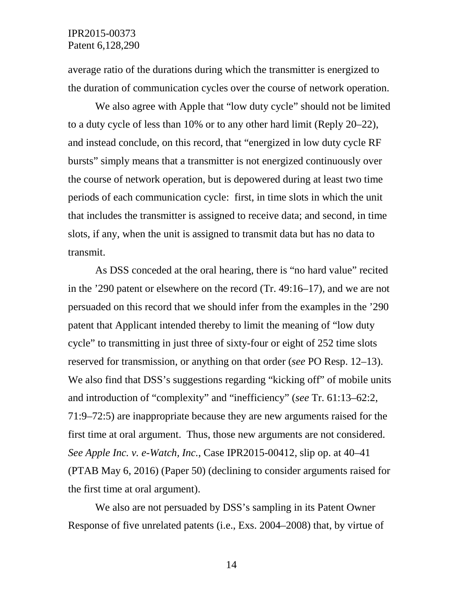average ratio of the durations during which the transmitter is energized to the duration of communication cycles over the course of network operation.

We also agree with Apple that "low duty cycle" should not be limited to a duty cycle of less than 10% or to any other hard limit (Reply 20–22), and instead conclude, on this record, that "energized in low duty cycle RF bursts" simply means that a transmitter is not energized continuously over the course of network operation, but is depowered during at least two time periods of each communication cycle: first, in time slots in which the unit that includes the transmitter is assigned to receive data; and second, in time slots, if any, when the unit is assigned to transmit data but has no data to transmit.

As DSS conceded at the oral hearing, there is "no hard value" recited in the '290 patent or elsewhere on the record (Tr. 49:16–17), and we are not persuaded on this record that we should infer from the examples in the '290 patent that Applicant intended thereby to limit the meaning of "low duty cycle" to transmitting in just three of sixty-four or eight of 252 time slots reserved for transmission, or anything on that order (*see* PO Resp. 12–13). We also find that DSS's suggestions regarding "kicking off" of mobile units and introduction of "complexity" and "inefficiency" (*see* Tr. 61:13–62:2, 71:9–72:5) are inappropriate because they are new arguments raised for the first time at oral argument. Thus, those new arguments are not considered. *See Apple Inc. v. e-Watch, Inc.*, Case IPR2015-00412, slip op. at 40–41 (PTAB May 6, 2016) (Paper 50) (declining to consider arguments raised for the first time at oral argument).

We also are not persuaded by DSS's sampling in its Patent Owner Response of five unrelated patents (i.e., Exs. 2004–2008) that, by virtue of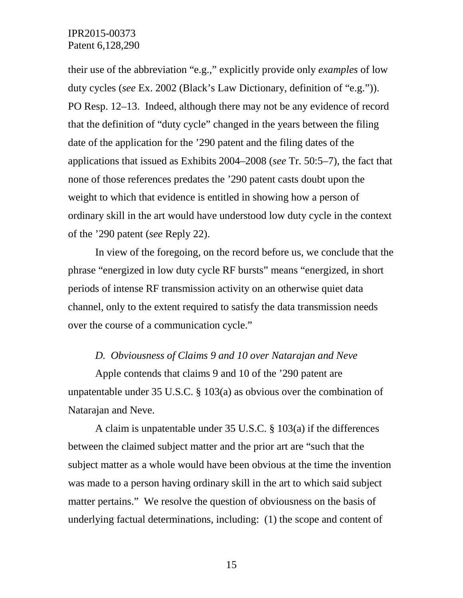their use of the abbreviation "e.g.," explicitly provide only *examples* of low duty cycles (*see* Ex. 2002 (Black's Law Dictionary, definition of "e.g.")). PO Resp. 12–13. Indeed, although there may not be any evidence of record that the definition of "duty cycle" changed in the years between the filing date of the application for the '290 patent and the filing dates of the applications that issued as Exhibits 2004–2008 (*see* Tr. 50:5–7), the fact that none of those references predates the '290 patent casts doubt upon the weight to which that evidence is entitled in showing how a person of ordinary skill in the art would have understood low duty cycle in the context of the '290 patent (*see* Reply 22).

In view of the foregoing, on the record before us, we conclude that the phrase "energized in low duty cycle RF bursts" means "energized, in short periods of intense RF transmission activity on an otherwise quiet data channel, only to the extent required to satisfy the data transmission needs over the course of a communication cycle."

## *D. Obviousness of Claims 9 and 10 over Natarajan and Neve*

Apple contends that claims 9 and 10 of the '290 patent are unpatentable under 35 U.S.C. § 103(a) as obvious over the combination of Natarajan and Neve.

A claim is unpatentable under 35 U.S.C. § 103(a) if the differences between the claimed subject matter and the prior art are "such that the subject matter as a whole would have been obvious at the time the invention was made to a person having ordinary skill in the art to which said subject matter pertains." We resolve the question of obviousness on the basis of underlying factual determinations, including: (1) the scope and content of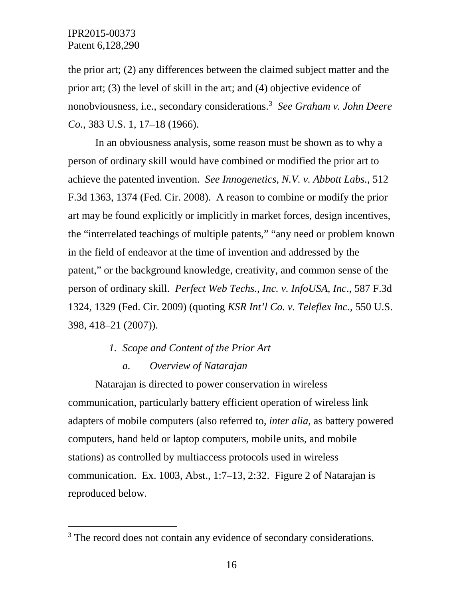the prior art; (2) any differences between the claimed subject matter and the prior art; (3) the level of skill in the art; and (4) objective evidence of nonobviousness, i.e., secondary considerations.[3](#page-15-0) *See Graham v. John Deere Co.*, 383 U.S. 1, 17–18 (1966).

In an obviousness analysis, some reason must be shown as to why a person of ordinary skill would have combined or modified the prior art to achieve the patented invention. *See Innogenetics, N.V. v. Abbott Labs.*, 512 F.3d 1363, 1374 (Fed. Cir. 2008). A reason to combine or modify the prior art may be found explicitly or implicitly in market forces, design incentives, the "interrelated teachings of multiple patents," "any need or problem known in the field of endeavor at the time of invention and addressed by the patent," or the background knowledge, creativity, and common sense of the person of ordinary skill. *Perfect Web Techs., Inc. v. InfoUSA, Inc*., 587 F.3d 1324, 1329 (Fed. Cir. 2009) (quoting *KSR Int'l Co. v. Teleflex Inc.*, 550 U.S. 398, 418–21 (2007)).

- *1. Scope and Content of the Prior Art*
	- *a. Overview of Natarajan*

Natarajan is directed to power conservation in wireless communication, particularly battery efficient operation of wireless link adapters of mobile computers (also referred to, *inter alia*, as battery powered computers, hand held or laptop computers, mobile units, and mobile stations) as controlled by multiaccess protocols used in wireless communication. Ex. 1003, Abst., 1:7–13, 2:32. Figure 2 of Natarajan is reproduced below.

<span id="page-15-0"></span><sup>&</sup>lt;sup>3</sup> The record does not contain any evidence of secondary considerations.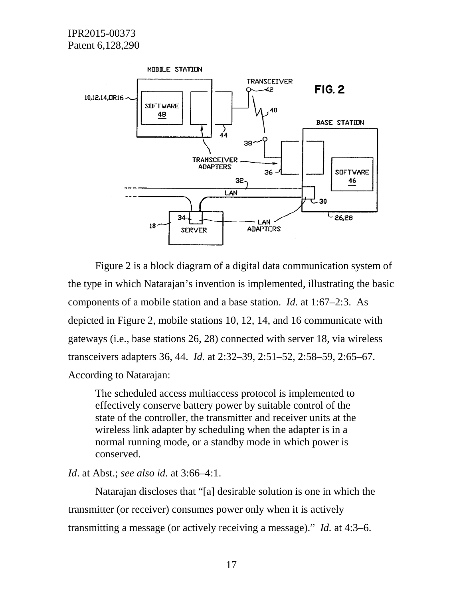

Figure 2 is a block diagram of a digital data communication system of the type in which Natarajan's invention is implemented, illustrating the basic components of a mobile station and a base station. *Id.* at 1:67–2:3. As depicted in Figure 2, mobile stations 10, 12, 14, and 16 communicate with gateways (i.e., base stations 26, 28) connected with server 18, via wireless transceivers adapters 36, 44. *Id.* at 2:32–39, 2:51–52, 2:58–59, 2:65–67. According to Natarajan:

The scheduled access multiaccess protocol is implemented to effectively conserve battery power by suitable control of the state of the controller, the transmitter and receiver units at the wireless link adapter by scheduling when the adapter is in a normal running mode, or a standby mode in which power is conserved.

*Id*. at Abst.; *see also id.* at 3:66–4:1.

Natarajan discloses that "[a] desirable solution is one in which the transmitter (or receiver) consumes power only when it is actively transmitting a message (or actively receiving a message)." *Id.* at 4:3–6.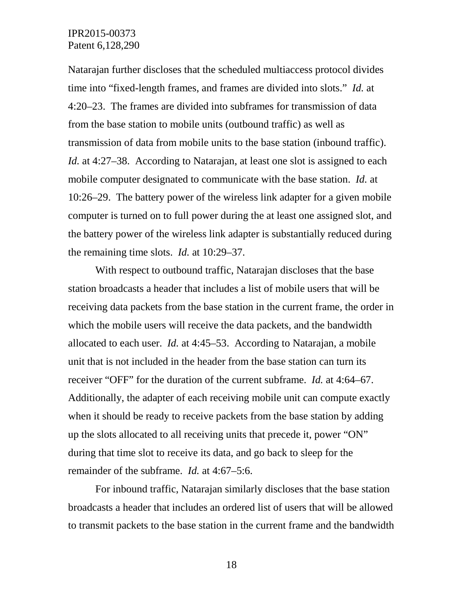Natarajan further discloses that the scheduled multiaccess protocol divides time into "fixed-length frames, and frames are divided into slots." *Id.* at 4:20–23. The frames are divided into subframes for transmission of data from the base station to mobile units (outbound traffic) as well as transmission of data from mobile units to the base station (inbound traffic). *Id.* at 4:27–38. According to Natarajan, at least one slot is assigned to each mobile computer designated to communicate with the base station. *Id.* at 10:26–29. The battery power of the wireless link adapter for a given mobile computer is turned on to full power during the at least one assigned slot, and the battery power of the wireless link adapter is substantially reduced during the remaining time slots. *Id.* at 10:29–37.

With respect to outbound traffic, Natarajan discloses that the base station broadcasts a header that includes a list of mobile users that will be receiving data packets from the base station in the current frame, the order in which the mobile users will receive the data packets, and the bandwidth allocated to each user. *Id.* at 4:45–53. According to Natarajan, a mobile unit that is not included in the header from the base station can turn its receiver "OFF" for the duration of the current subframe. *Id.* at 4:64–67. Additionally, the adapter of each receiving mobile unit can compute exactly when it should be ready to receive packets from the base station by adding up the slots allocated to all receiving units that precede it, power "ON" during that time slot to receive its data, and go back to sleep for the remainder of the subframe. *Id.* at 4:67–5:6.

For inbound traffic, Natarajan similarly discloses that the base station broadcasts a header that includes an ordered list of users that will be allowed to transmit packets to the base station in the current frame and the bandwidth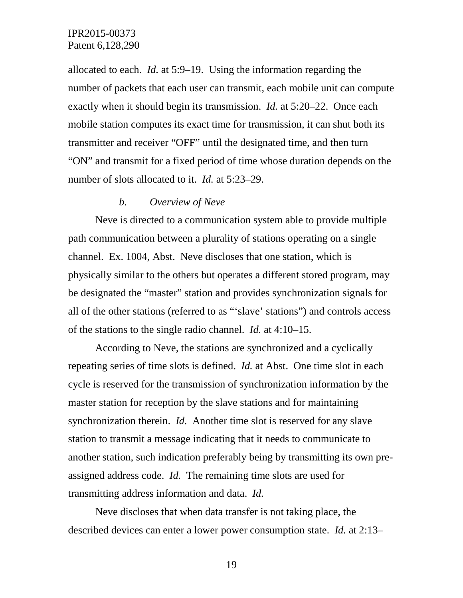allocated to each. *Id.* at 5:9–19. Using the information regarding the number of packets that each user can transmit, each mobile unit can compute exactly when it should begin its transmission. *Id.* at 5:20–22. Once each mobile station computes its exact time for transmission, it can shut both its transmitter and receiver "OFF" until the designated time, and then turn "ON" and transmit for a fixed period of time whose duration depends on the number of slots allocated to it. *Id.* at 5:23–29.

#### *b. Overview of Neve*

Neve is directed to a communication system able to provide multiple path communication between a plurality of stations operating on a single channel. Ex. 1004, Abst. Neve discloses that one station, which is physically similar to the others but operates a different stored program, may be designated the "master" station and provides synchronization signals for all of the other stations (referred to as "'slave' stations") and controls access of the stations to the single radio channel. *Id.* at 4:10–15.

According to Neve, the stations are synchronized and a cyclically repeating series of time slots is defined. *Id.* at Abst. One time slot in each cycle is reserved for the transmission of synchronization information by the master station for reception by the slave stations and for maintaining synchronization therein. *Id.* Another time slot is reserved for any slave station to transmit a message indicating that it needs to communicate to another station, such indication preferably being by transmitting its own preassigned address code. *Id.* The remaining time slots are used for transmitting address information and data. *Id.* 

Neve discloses that when data transfer is not taking place, the described devices can enter a lower power consumption state. *Id.* at 2:13–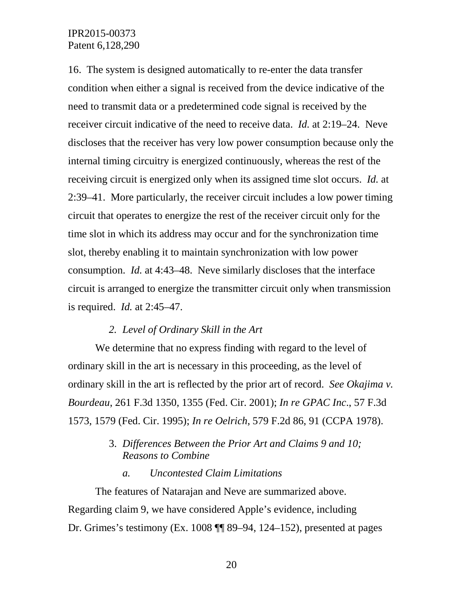16. The system is designed automatically to re-enter the data transfer condition when either a signal is received from the device indicative of the need to transmit data or a predetermined code signal is received by the receiver circuit indicative of the need to receive data. *Id.* at 2:19–24. Neve discloses that the receiver has very low power consumption because only the internal timing circuitry is energized continuously, whereas the rest of the receiving circuit is energized only when its assigned time slot occurs. *Id.* at 2:39–41. More particularly, the receiver circuit includes a low power timing circuit that operates to energize the rest of the receiver circuit only for the time slot in which its address may occur and for the synchronization time slot, thereby enabling it to maintain synchronization with low power consumption. *Id.* at 4:43–48. Neve similarly discloses that the interface circuit is arranged to energize the transmitter circuit only when transmission is required. *Id.* at 2:45–47.

#### *2. Level of Ordinary Skill in the Art*

We determine that no express finding with regard to the level of ordinary skill in the art is necessary in this proceeding, as the level of ordinary skill in the art is reflected by the prior art of record. *See Okajima v. Bourdeau*, 261 F.3d 1350, 1355 (Fed. Cir. 2001); *In re GPAC Inc*., 57 F.3d 1573, 1579 (Fed. Cir. 1995); *In re Oelrich*, 579 F.2d 86, 91 (CCPA 1978).

# 3. *Differences Between the Prior Art and Claims 9 and 10; Reasons to Combine*

## *a. Uncontested Claim Limitations*

The features of Natarajan and Neve are summarized above. Regarding claim 9, we have considered Apple's evidence, including Dr. Grimes's testimony (Ex. 1008 ¶¶ 89–94, 124–152), presented at pages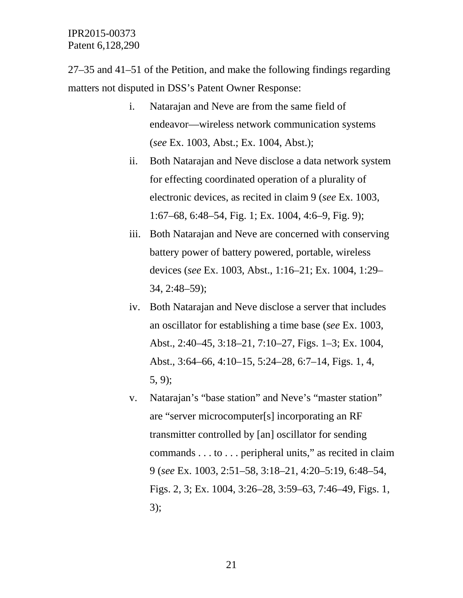27–35 and 41–51 of the Petition, and make the following findings regarding matters not disputed in DSS's Patent Owner Response:

- i. Natarajan and Neve are from the same field of endeavor—wireless network communication systems (*see* Ex. 1003, Abst.; Ex. 1004, Abst.);
- ii. Both Natarajan and Neve disclose a data network system for effecting coordinated operation of a plurality of electronic devices, as recited in claim 9 (*see* Ex. 1003, 1:67–68, 6:48–54, Fig. 1; Ex. 1004, 4:6–9, Fig. 9);
- iii. Both Natarajan and Neve are concerned with conserving battery power of battery powered, portable, wireless devices (*see* Ex. 1003, Abst., 1:16–21; Ex. 1004, 1:29– 34, 2:48–59);
- iv. Both Natarajan and Neve disclose a server that includes an oscillator for establishing a time base (*see* Ex. 1003, Abst., 2:40–45, 3:18–21, 7:10–27, Figs. 1–3; Ex. 1004, Abst., 3:64–66, 4:10–15, 5:24–28, 6:7–14, Figs. 1, 4, 5, 9);
- v. Natarajan's "base station" and Neve's "master station" are "server microcomputer[s] incorporating an RF transmitter controlled by [an] oscillator for sending commands . . . to . . . peripheral units," as recited in claim 9 (*see* Ex. 1003, 2:51–58, 3:18–21, 4:20–5:19, 6:48–54, Figs. 2, 3; Ex. 1004, 3:26–28, 3:59–63, 7:46–49, Figs. 1, 3);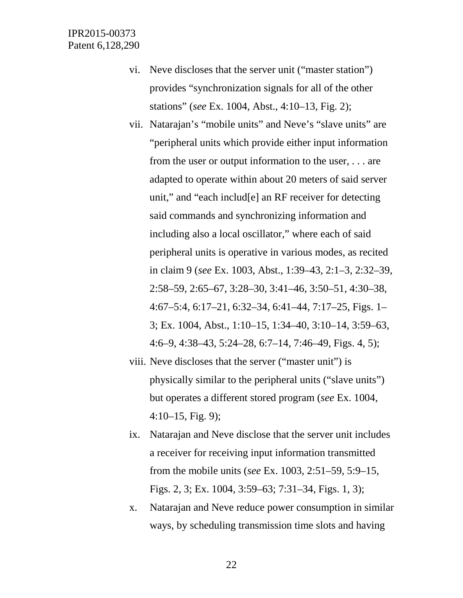- vi. Neve discloses that the server unit ("master station") provides "synchronization signals for all of the other stations" (*see* Ex. 1004, Abst., 4:10–13, Fig. 2);
- vii. Natarajan's "mobile units" and Neve's "slave units" are "peripheral units which provide either input information from the user or output information to the user, . . . are adapted to operate within about 20 meters of said server unit," and "each includ[e] an RF receiver for detecting said commands and synchronizing information and including also a local oscillator," where each of said peripheral units is operative in various modes, as recited in claim 9 (*see* Ex. 1003, Abst., 1:39–43, 2:1–3, 2:32–39, 2:58–59, 2:65–67, 3:28–30, 3:41–46, 3:50–51, 4:30–38, 4:67–5:4, 6:17–21, 6:32–34, 6:41–44, 7:17–25, Figs. 1– 3; Ex. 1004, Abst., 1:10–15, 1:34–40, 3:10–14, 3:59–63, 4:6–9, 4:38–43, 5:24–28, 6:7–14, 7:46–49, Figs. 4, 5);
- viii. Neve discloses that the server ("master unit") is physically similar to the peripheral units ("slave units") but operates a different stored program (*see* Ex. 1004, 4:10–15, Fig. 9);
- ix. Natarajan and Neve disclose that the server unit includes a receiver for receiving input information transmitted from the mobile units (*see* Ex. 1003, 2:51–59, 5:9–15, Figs. 2, 3; Ex. 1004, 3:59–63; 7:31–34, Figs. 1, 3);
- x. Natarajan and Neve reduce power consumption in similar ways, by scheduling transmission time slots and having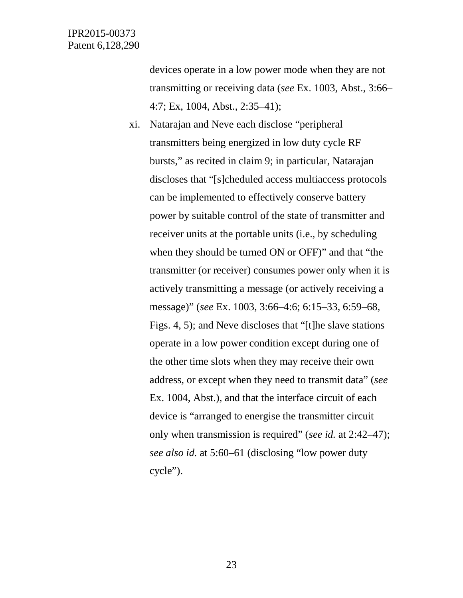devices operate in a low power mode when they are not transmitting or receiving data (*see* Ex. 1003, Abst., 3:66– 4:7; Ex, 1004, Abst., 2:35–41);

xi. Natarajan and Neve each disclose "peripheral transmitters being energized in low duty cycle RF bursts," as recited in claim 9; in particular, Natarajan discloses that "[s]cheduled access multiaccess protocols can be implemented to effectively conserve battery power by suitable control of the state of transmitter and receiver units at the portable units (i.e., by scheduling when they should be turned ON or OFF)" and that "the transmitter (or receiver) consumes power only when it is actively transmitting a message (or actively receiving a message)" (*see* Ex. 1003, 3:66–4:6; 6:15–33, 6:59–68, Figs. 4, 5); and Neve discloses that "[t]he slave stations operate in a low power condition except during one of the other time slots when they may receive their own address, or except when they need to transmit data" (*see* Ex. 1004, Abst.), and that the interface circuit of each device is "arranged to energise the transmitter circuit only when transmission is required" (*see id.* at 2:42–47); *see also id.* at 5:60–61 (disclosing "low power duty cycle").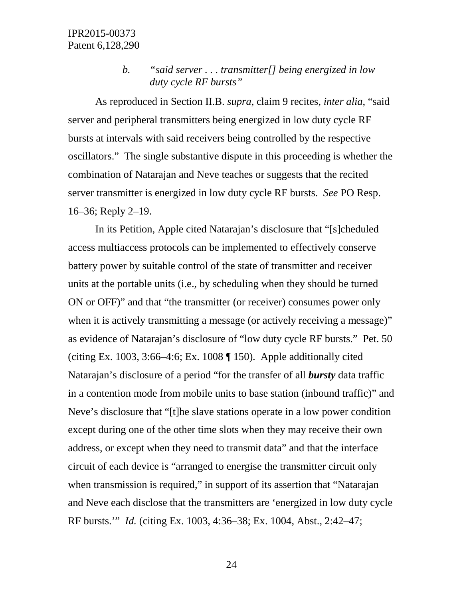# *b. "said server . . . transmitter[] being energized in low duty cycle RF bursts"*

As reproduced in Section II.B. *supra*, claim 9 recites, *inter alia*, "said server and peripheral transmitters being energized in low duty cycle RF bursts at intervals with said receivers being controlled by the respective oscillators." The single substantive dispute in this proceeding is whether the combination of Natarajan and Neve teaches or suggests that the recited server transmitter is energized in low duty cycle RF bursts. *See* PO Resp. 16–36; Reply 2–19.

In its Petition, Apple cited Natarajan's disclosure that "[s]cheduled access multiaccess protocols can be implemented to effectively conserve battery power by suitable control of the state of transmitter and receiver units at the portable units (i.e., by scheduling when they should be turned ON or OFF)" and that "the transmitter (or receiver) consumes power only when it is actively transmitting a message (or actively receiving a message)" as evidence of Natarajan's disclosure of "low duty cycle RF bursts." Pet. 50 (citing Ex. 1003, 3:66–4:6; Ex. 1008  $\P$  150). Apple additionally cited Natarajan's disclosure of a period "for the transfer of all *bursty* data traffic in a contention mode from mobile units to base station (inbound traffic)" and Neve's disclosure that "[t]he slave stations operate in a low power condition except during one of the other time slots when they may receive their own address, or except when they need to transmit data" and that the interface circuit of each device is "arranged to energise the transmitter circuit only when transmission is required," in support of its assertion that "Natarajan and Neve each disclose that the transmitters are 'energized in low duty cycle RF bursts.'" *Id.* (citing Ex. 1003, 4:36–38; Ex. 1004, Abst., 2:42–47;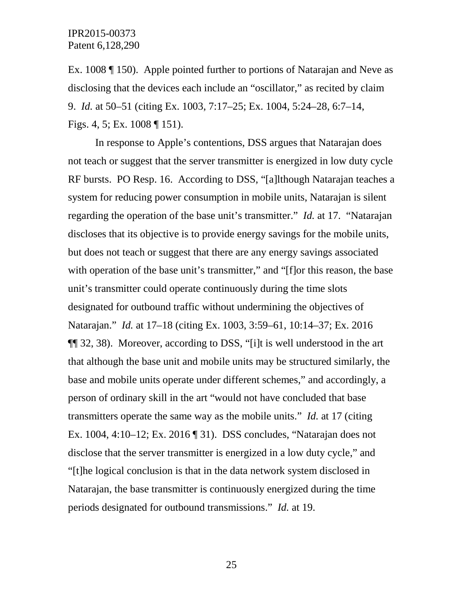Ex. 1008 ¶ 150). Apple pointed further to portions of Natarajan and Neve as disclosing that the devices each include an "oscillator," as recited by claim 9. *Id.* at 50–51 (citing Ex. 1003, 7:17–25; Ex. 1004, 5:24–28, 6:7–14, Figs. 4, 5; Ex. 1008 ¶ 151).

In response to Apple's contentions, DSS argues that Natarajan does not teach or suggest that the server transmitter is energized in low duty cycle RF bursts. PO Resp. 16. According to DSS, "[a]lthough Natarajan teaches a system for reducing power consumption in mobile units, Natarajan is silent regarding the operation of the base unit's transmitter." *Id.* at 17. "Natarajan discloses that its objective is to provide energy savings for the mobile units, but does not teach or suggest that there are any energy savings associated with operation of the base unit's transmitter," and "[f]or this reason, the base unit's transmitter could operate continuously during the time slots designated for outbound traffic without undermining the objectives of Natarajan." *Id.* at 17–18 (citing Ex. 1003, 3:59–61, 10:14–37; Ex. 2016 ¶¶ 32, 38). Moreover, according to DSS, "[i]t is well understood in the art that although the base unit and mobile units may be structured similarly, the base and mobile units operate under different schemes," and accordingly, a person of ordinary skill in the art "would not have concluded that base transmitters operate the same way as the mobile units." *Id.* at 17 (citing Ex. 1004, 4:10–12; Ex. 2016 ¶ 31). DSS concludes, "Natarajan does not disclose that the server transmitter is energized in a low duty cycle," and "[t]he logical conclusion is that in the data network system disclosed in Natarajan, the base transmitter is continuously energized during the time periods designated for outbound transmissions." *Id.* at 19.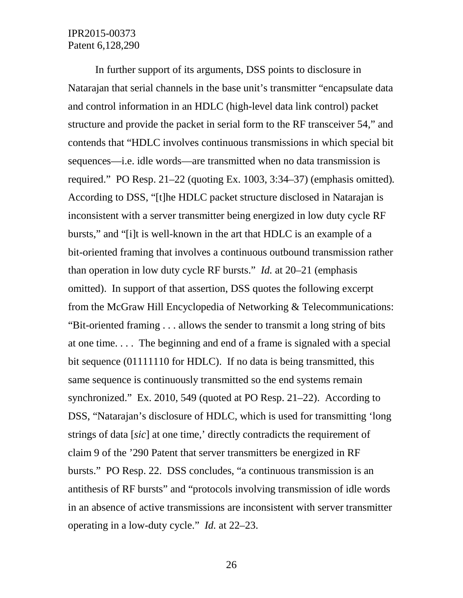In further support of its arguments, DSS points to disclosure in Natarajan that serial channels in the base unit's transmitter "encapsulate data and control information in an HDLC (high-level data link control) packet structure and provide the packet in serial form to the RF transceiver 54," and contends that "HDLC involves continuous transmissions in which special bit sequences—i.e. idle words—are transmitted when no data transmission is required." PO Resp. 21–22 (quoting Ex. 1003, 3:34–37) (emphasis omitted)*.* According to DSS, "[t]he HDLC packet structure disclosed in Natarajan is inconsistent with a server transmitter being energized in low duty cycle RF bursts," and "[i]t is well-known in the art that HDLC is an example of a bit-oriented framing that involves a continuous outbound transmission rather than operation in low duty cycle RF bursts." *Id.* at 20–21 (emphasis omitted). In support of that assertion, DSS quotes the following excerpt from the McGraw Hill Encyclopedia of Networking & Telecommunications: "Bit-oriented framing . . . allows the sender to transmit a long string of bits at one time. . . . The beginning and end of a frame is signaled with a special bit sequence (01111110 for HDLC). If no data is being transmitted, this same sequence is continuously transmitted so the end systems remain synchronized." Ex. 2010, 549 (quoted at PO Resp. 21–22). According to DSS, "Natarajan's disclosure of HDLC, which is used for transmitting 'long strings of data [*sic*] at one time,' directly contradicts the requirement of claim 9 of the '290 Patent that server transmitters be energized in RF bursts." PO Resp. 22. DSS concludes, "a continuous transmission is an antithesis of RF bursts" and "protocols involving transmission of idle words in an absence of active transmissions are inconsistent with server transmitter operating in a low-duty cycle." *Id.* at 22–23.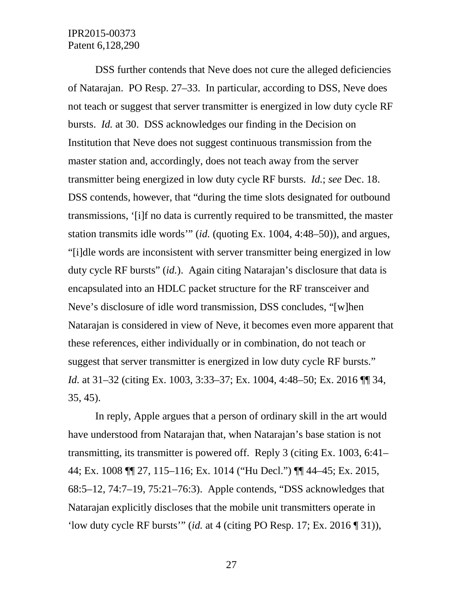DSS further contends that Neve does not cure the alleged deficiencies of Natarajan. PO Resp. 27–33. In particular, according to DSS, Neve does not teach or suggest that server transmitter is energized in low duty cycle RF bursts. *Id.* at 30. DSS acknowledges our finding in the Decision on Institution that Neve does not suggest continuous transmission from the master station and, accordingly, does not teach away from the server transmitter being energized in low duty cycle RF bursts. *Id.*; *see* Dec. 18. DSS contends, however, that "during the time slots designated for outbound transmissions, '[i]f no data is currently required to be transmitted, the master station transmits idle words'" (*id.* (quoting Ex. 1004, 4:48–50)), and argues, "[i]dle words are inconsistent with server transmitter being energized in low duty cycle RF bursts" (*id.*). Again citing Natarajan's disclosure that data is encapsulated into an HDLC packet structure for the RF transceiver and Neve's disclosure of idle word transmission, DSS concludes, "[w]hen Natarajan is considered in view of Neve, it becomes even more apparent that these references, either individually or in combination, do not teach or suggest that server transmitter is energized in low duty cycle RF bursts." *Id.* at 31–32 (citing Ex. 1003, 3:33–37; Ex. 1004, 4:48–50; Ex. 2016 ¶¶ 34, 35, 45).

In reply, Apple argues that a person of ordinary skill in the art would have understood from Natarajan that, when Natarajan's base station is not transmitting, its transmitter is powered off. Reply 3 (citing Ex. 1003, 6:41– 44; Ex. 1008 ¶¶ 27, 115–116; Ex. 1014 ("Hu Decl.") ¶¶ 44–45; Ex. 2015, 68:5–12, 74:7–19, 75:21–76:3). Apple contends, "DSS acknowledges that Natarajan explicitly discloses that the mobile unit transmitters operate in 'low duty cycle RF bursts'" (*id.* at 4 (citing PO Resp. 17; Ex. 2016 ¶ 31)),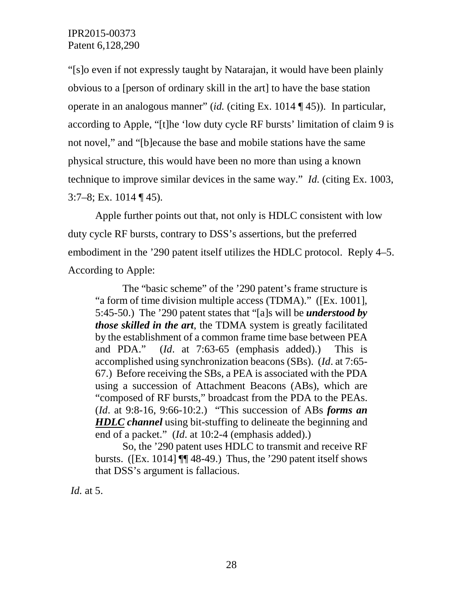"[s]o even if not expressly taught by Natarajan, it would have been plainly obvious to a [person of ordinary skill in the art] to have the base station operate in an analogous manner" (*id.* (citing Ex. 1014 ¶ 45)). In particular, according to Apple, "[t]he 'low duty cycle RF bursts' limitation of claim 9 is not novel," and "[b]ecause the base and mobile stations have the same physical structure, this would have been no more than using a known technique to improve similar devices in the same way." *Id.* (citing Ex. 1003,  $3:7-8$ ; Ex. 1014 ¶ 45).

Apple further points out that, not only is HDLC consistent with low duty cycle RF bursts, contrary to DSS's assertions, but the preferred embodiment in the '290 patent itself utilizes the HDLC protocol. Reply 4–5. According to Apple:

The "basic scheme" of the '290 patent's frame structure is "a form of time division multiple access (TDMA)." ([Ex. 1001], 5:45-50.) The '290 patent states that "[a]s will be *understood by those skilled in the art*, the TDMA system is greatly facilitated by the establishment of a common frame time base between PEA and PDA." (*Id*. at 7:63-65 (emphasis added).) This is accomplished using synchronization beacons (SBs). (*Id*. at 7:65- 67.) Before receiving the SBs, a PEA is associated with the PDA using a succession of Attachment Beacons (ABs), which are "composed of RF bursts," broadcast from the PDA to the PEAs. (*Id*. at 9:8-16, 9:66-10:2.) "This succession of ABs *forms an HDLC channel* using bit-stuffing to delineate the beginning and end of a packet." (*Id*. at 10:2-4 (emphasis added).)

So, the '290 patent uses HDLC to transmit and receive RF bursts. ( $[Ex. 1014]$  ¶ 48-49.) Thus, the '290 patent itself shows that DSS's argument is fallacious.

*Id.* at 5.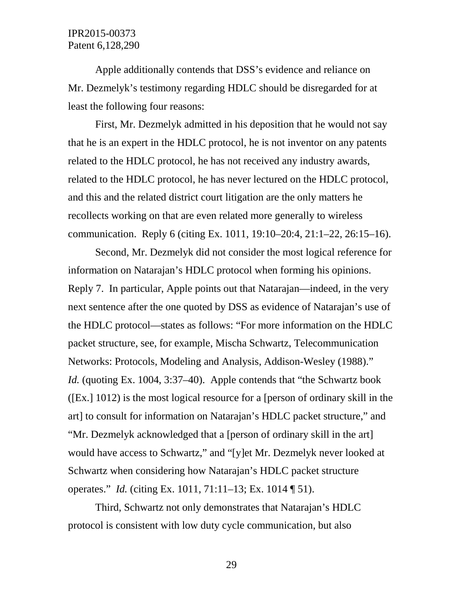Apple additionally contends that DSS's evidence and reliance on Mr. Dezmelyk's testimony regarding HDLC should be disregarded for at least the following four reasons:

First, Mr. Dezmelyk admitted in his deposition that he would not say that he is an expert in the HDLC protocol, he is not inventor on any patents related to the HDLC protocol, he has not received any industry awards, related to the HDLC protocol, he has never lectured on the HDLC protocol, and this and the related district court litigation are the only matters he recollects working on that are even related more generally to wireless communication. Reply 6 (citing Ex. 1011, 19:10–20:4, 21:1–22, 26:15–16).

Second, Mr. Dezmelyk did not consider the most logical reference for information on Natarajan's HDLC protocol when forming his opinions. Reply 7. In particular, Apple points out that Natarajan—indeed, in the very next sentence after the one quoted by DSS as evidence of Natarajan's use of the HDLC protocol—states as follows: "For more information on the HDLC packet structure, see, for example, Mischa Schwartz, Telecommunication Networks: Protocols, Modeling and Analysis, Addison-Wesley (1988)." *Id.* (quoting Ex. 1004, 3:37–40). Apple contends that "the Schwartz book" ([Ex.] 1012) is the most logical resource for a [person of ordinary skill in the art] to consult for information on Natarajan's HDLC packet structure," and "Mr. Dezmelyk acknowledged that a [person of ordinary skill in the art] would have access to Schwartz," and "[y]et Mr. Dezmelyk never looked at Schwartz when considering how Natarajan's HDLC packet structure operates." *Id.* (citing Ex. 1011, 71:11–13; Ex. 1014 ¶ 51).

Third, Schwartz not only demonstrates that Natarajan's HDLC protocol is consistent with low duty cycle communication, but also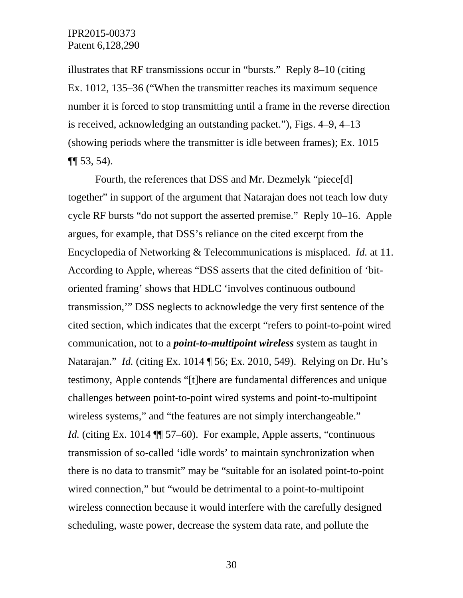illustrates that RF transmissions occur in "bursts." Reply 8–10 (citing Ex. 1012, 135–36 ("When the transmitter reaches its maximum sequence number it is forced to stop transmitting until a frame in the reverse direction is received, acknowledging an outstanding packet."), Figs. 4–9, 4–13 (showing periods where the transmitter is idle between frames); Ex. 1015 ¶¶ 53, 54).

Fourth, the references that DSS and Mr. Dezmelyk "piece[d] together" in support of the argument that Natarajan does not teach low duty cycle RF bursts "do not support the asserted premise." Reply 10–16. Apple argues, for example, that DSS's reliance on the cited excerpt from the Encyclopedia of Networking & Telecommunications is misplaced. *Id.* at 11. According to Apple, whereas "DSS asserts that the cited definition of 'bitoriented framing' shows that HDLC 'involves continuous outbound transmission,'" DSS neglects to acknowledge the very first sentence of the cited section, which indicates that the excerpt "refers to point-to-point wired communication, not to a *point-to-multipoint wireless* system as taught in Natarajan." *Id.* (citing Ex. 1014 ¶ 56; Ex. 2010, 549). Relying on Dr. Hu's testimony, Apple contends "[t]here are fundamental differences and unique challenges between point-to-point wired systems and point-to-multipoint wireless systems," and "the features are not simply interchangeable." *Id.* (citing Ex. 1014 ¶ 57–60). For example, Apple asserts, "continuous transmission of so-called 'idle words' to maintain synchronization when there is no data to transmit" may be "suitable for an isolated point-to-point wired connection," but "would be detrimental to a point-to-multipoint wireless connection because it would interfere with the carefully designed scheduling, waste power, decrease the system data rate, and pollute the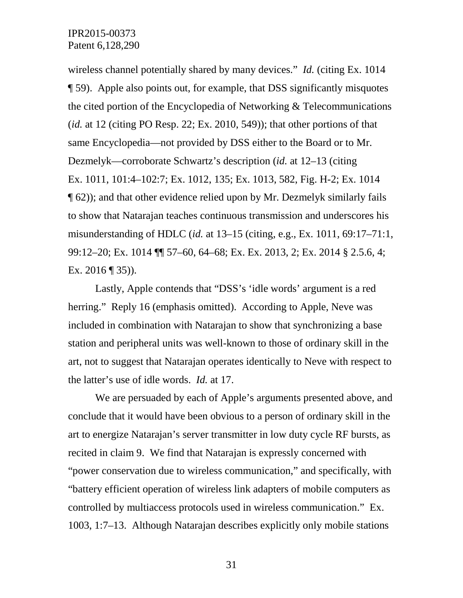wireless channel potentially shared by many devices." *Id.* (citing Ex. 1014 ¶ 59). Apple also points out, for example, that DSS significantly misquotes the cited portion of the Encyclopedia of Networking & Telecommunications (*id.* at 12 (citing PO Resp. 22; Ex. 2010, 549)); that other portions of that same Encyclopedia—not provided by DSS either to the Board or to Mr. Dezmelyk—corroborate Schwartz's description (*id.* at 12–13 (citing Ex. 1011, 101:4–102:7; Ex. 1012, 135; Ex. 1013, 582, Fig. H-2; Ex. 1014 ¶ 62)); and that other evidence relied upon by Mr. Dezmelyk similarly fails to show that Natarajan teaches continuous transmission and underscores his misunderstanding of HDLC (*id.* at 13–15 (citing, e.g., Ex. 1011, 69:17–71:1, 99:12–20; Ex. 1014 ¶¶ 57–60, 64–68; Ex. Ex. 2013, 2; Ex. 2014 § 2.5.6, 4; Ex. 2016 ¶ 35)).

Lastly, Apple contends that "DSS's 'idle words' argument is a red herring." Reply 16 (emphasis omitted). According to Apple, Neve was included in combination with Natarajan to show that synchronizing a base station and peripheral units was well-known to those of ordinary skill in the art, not to suggest that Natarajan operates identically to Neve with respect to the latter's use of idle words. *Id.* at 17.

We are persuaded by each of Apple's arguments presented above, and conclude that it would have been obvious to a person of ordinary skill in the art to energize Natarajan's server transmitter in low duty cycle RF bursts, as recited in claim 9. We find that Natarajan is expressly concerned with "power conservation due to wireless communication," and specifically, with "battery efficient operation of wireless link adapters of mobile computers as controlled by multiaccess protocols used in wireless communication." Ex. 1003, 1:7–13. Although Natarajan describes explicitly only mobile stations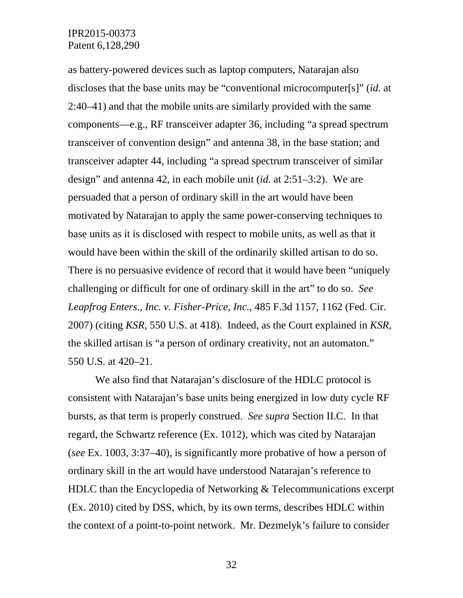as battery-powered devices such as laptop computers, Natarajan also discloses that the base units may be "conventional microcomputer[s]" (*id.* at 2:40–41) and that the mobile units are similarly provided with the same components—e.g., RF transceiver adapter 36, including "a spread spectrum transceiver of convention design" and antenna 38, in the base station; and transceiver adapter 44, including "a spread spectrum transceiver of similar design" and antenna 42, in each mobile unit (*id.* at 2:51–3:2). We are persuaded that a person of ordinary skill in the art would have been motivated by Natarajan to apply the same power-conserving techniques to base units as it is disclosed with respect to mobile units, as well as that it would have been within the skill of the ordinarily skilled artisan to do so. There is no persuasive evidence of record that it would have been "uniquely challenging or difficult for one of ordinary skill in the art" to do so. *See Leapfrog Enters., Inc. v. Fisher-Price, Inc.*, 485 F.3d 1157, 1162 (Fed. Cir. 2007) (citing *KSR*, 550 U.S. at 418). Indeed, as the Court explained in *KSR*, the skilled artisan is "a person of ordinary creativity, not an automaton." 550 U.S. at 420–21.

We also find that Natarajan's disclosure of the HDLC protocol is consistent with Natarajan's base units being energized in low duty cycle RF bursts, as that term is properly construed. *See supra* Section II.C. In that regard, the Schwartz reference (Ex. 1012), which was cited by Natarajan (*see* Ex. 1003, 3:37–40), is significantly more probative of how a person of ordinary skill in the art would have understood Natarajan's reference to HDLC than the Encyclopedia of Networking & Telecommunications excerpt (Ex. 2010) cited by DSS, which, by its own terms, describes HDLC within the context of a point-to-point network. Mr. Dezmelyk's failure to consider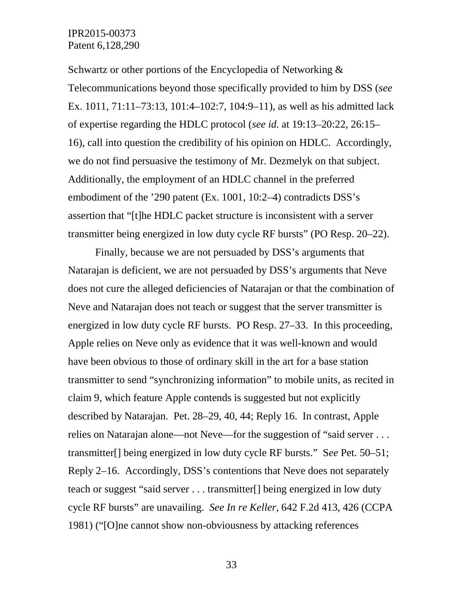Schwartz or other portions of the Encyclopedia of Networking  $\&$ Telecommunications beyond those specifically provided to him by DSS (*see* Ex. 1011, 71:11–73:13, 101:4–102:7, 104:9–11), as well as his admitted lack of expertise regarding the HDLC protocol (*see id.* at 19:13–20:22, 26:15– 16), call into question the credibility of his opinion on HDLC. Accordingly, we do not find persuasive the testimony of Mr. Dezmelyk on that subject. Additionally, the employment of an HDLC channel in the preferred embodiment of the '290 patent (Ex. 1001, 10:2–4) contradicts DSS's assertion that "[t]he HDLC packet structure is inconsistent with a server transmitter being energized in low duty cycle RF bursts" (PO Resp. 20–22).

Finally, because we are not persuaded by DSS's arguments that Natarajan is deficient, we are not persuaded by DSS's arguments that Neve does not cure the alleged deficiencies of Natarajan or that the combination of Neve and Natarajan does not teach or suggest that the server transmitter is energized in low duty cycle RF bursts. PO Resp. 27–33. In this proceeding, Apple relies on Neve only as evidence that it was well-known and would have been obvious to those of ordinary skill in the art for a base station transmitter to send "synchronizing information" to mobile units, as recited in claim 9, which feature Apple contends is suggested but not explicitly described by Natarajan. Pet. 28–29, 40, 44; Reply 16. In contrast, Apple relies on Natarajan alone—not Neve—for the suggestion of "said server . . . transmitter[] being energized in low duty cycle RF bursts." S*ee* Pet. 50–51; Reply 2–16. Accordingly, DSS's contentions that Neve does not separately teach or suggest "said server . . . transmitter[] being energized in low duty cycle RF bursts" are unavailing. *See In re Keller*, 642 F.2d 413, 426 (CCPA 1981) ("[O]ne cannot show non-obviousness by attacking references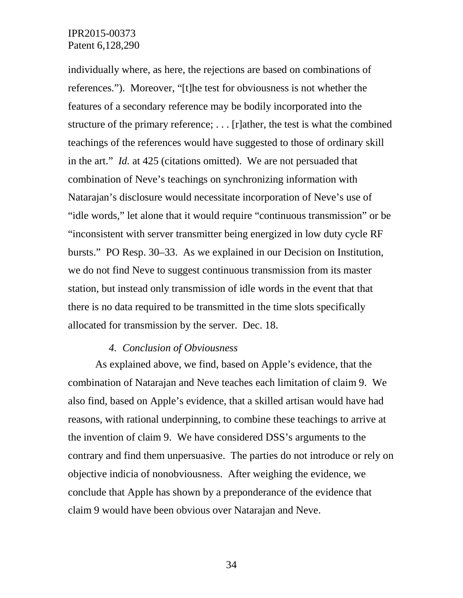individually where, as here, the rejections are based on combinations of references."). Moreover, "[t]he test for obviousness is not whether the features of a secondary reference may be bodily incorporated into the structure of the primary reference; . . . [r]ather, the test is what the combined teachings of the references would have suggested to those of ordinary skill in the art." *Id.* at 425 (citations omitted). We are not persuaded that combination of Neve's teachings on synchronizing information with Natarajan's disclosure would necessitate incorporation of Neve's use of "idle words," let alone that it would require "continuous transmission" or be "inconsistent with server transmitter being energized in low duty cycle RF bursts." PO Resp. 30–33. As we explained in our Decision on Institution, we do not find Neve to suggest continuous transmission from its master station, but instead only transmission of idle words in the event that that there is no data required to be transmitted in the time slots specifically allocated for transmission by the server. Dec. 18.

#### *4. Conclusion of Obviousness*

As explained above, we find, based on Apple's evidence, that the combination of Natarajan and Neve teaches each limitation of claim 9. We also find, based on Apple's evidence, that a skilled artisan would have had reasons, with rational underpinning, to combine these teachings to arrive at the invention of claim 9. We have considered DSS's arguments to the contrary and find them unpersuasive. The parties do not introduce or rely on objective indicia of nonobviousness. After weighing the evidence, we conclude that Apple has shown by a preponderance of the evidence that claim 9 would have been obvious over Natarajan and Neve.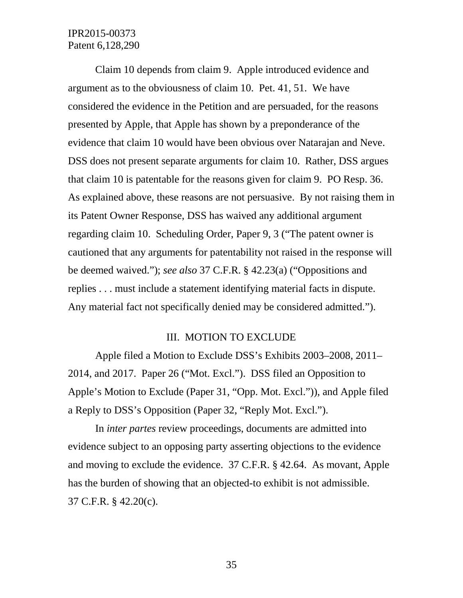Claim 10 depends from claim 9. Apple introduced evidence and argument as to the obviousness of claim 10. Pet. 41, 51. We have considered the evidence in the Petition and are persuaded, for the reasons presented by Apple, that Apple has shown by a preponderance of the evidence that claim 10 would have been obvious over Natarajan and Neve. DSS does not present separate arguments for claim 10. Rather, DSS argues that claim 10 is patentable for the reasons given for claim 9. PO Resp. 36. As explained above, these reasons are not persuasive. By not raising them in its Patent Owner Response, DSS has waived any additional argument regarding claim 10. Scheduling Order, Paper 9, 3 ("The patent owner is cautioned that any arguments for patentability not raised in the response will be deemed waived."); *see also* 37 C.F.R. § 42.23(a) ("Oppositions and replies . . . must include a statement identifying material facts in dispute. Any material fact not specifically denied may be considered admitted.").

#### III. MOTION TO EXCLUDE

Apple filed a Motion to Exclude DSS's Exhibits 2003–2008, 2011– 2014, and 2017. Paper 26 ("Mot. Excl."). DSS filed an Opposition to Apple's Motion to Exclude (Paper 31, "Opp. Mot. Excl.")), and Apple filed a Reply to DSS's Opposition (Paper 32, "Reply Mot. Excl.").

In *inter partes* review proceedings, documents are admitted into evidence subject to an opposing party asserting objections to the evidence and moving to exclude the evidence. 37 C.F.R. § 42.64. As movant, Apple has the burden of showing that an objected-to exhibit is not admissible. 37 C.F.R. § 42.20(c).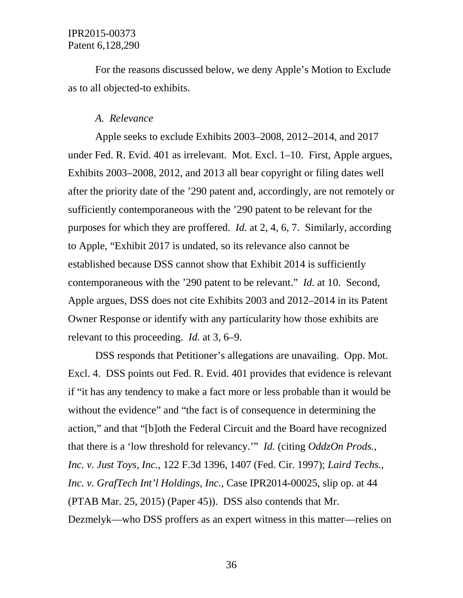For the reasons discussed below, we deny Apple's Motion to Exclude as to all objected-to exhibits.

#### *A. Relevance*

Apple seeks to exclude Exhibits 2003–2008, 2012–2014, and 2017 under Fed. R. Evid. 401 as irrelevant. Mot. Excl. 1–10. First, Apple argues, Exhibits 2003–2008, 2012, and 2013 all bear copyright or filing dates well after the priority date of the '290 patent and, accordingly, are not remotely or sufficiently contemporaneous with the '290 patent to be relevant for the purposes for which they are proffered. *Id.* at 2, 4, 6, 7. Similarly, according to Apple, "Exhibit 2017 is undated, so its relevance also cannot be established because DSS cannot show that Exhibit 2014 is sufficiently contemporaneous with the '290 patent to be relevant." *Id.* at 10. Second, Apple argues, DSS does not cite Exhibits 2003 and 2012–2014 in its Patent Owner Response or identify with any particularity how those exhibits are relevant to this proceeding. *Id.* at 3, 6–9.

DSS responds that Petitioner's allegations are unavailing. Opp. Mot. Excl. 4. DSS points out Fed. R. Evid. 401 provides that evidence is relevant if "it has any tendency to make a fact more or less probable than it would be without the evidence" and "the fact is of consequence in determining the action," and that "[b]oth the Federal Circuit and the Board have recognized that there is a 'low threshold for relevancy.'" *Id.* (citing *OddzOn Prods., Inc. v. Just Toys, Inc.*, 122 F.3d 1396, 1407 (Fed. Cir. 1997); *Laird Techs., Inc. v. GrafTech Int'l Holdings, Inc.*, Case IPR2014-00025, slip op. at 44 (PTAB Mar. 25, 2015) (Paper 45)). DSS also contends that Mr. Dezmelyk—who DSS proffers as an expert witness in this matter—relies on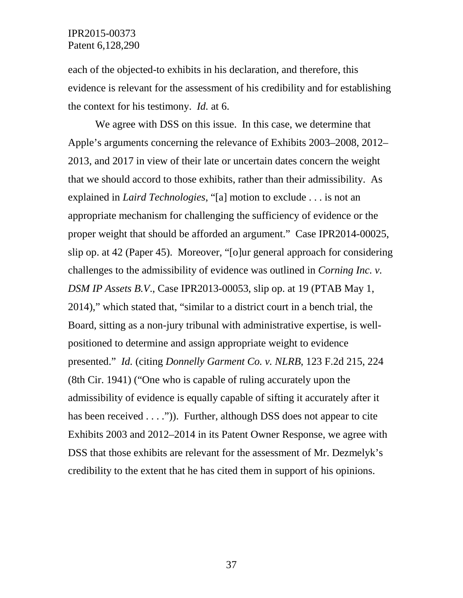each of the objected-to exhibits in his declaration, and therefore, this evidence is relevant for the assessment of his credibility and for establishing the context for his testimony. *Id.* at 6.

We agree with DSS on this issue. In this case, we determine that Apple's arguments concerning the relevance of Exhibits 2003–2008, 2012– 2013, and 2017 in view of their late or uncertain dates concern the weight that we should accord to those exhibits, rather than their admissibility. As explained in *Laird Technologies*, "[a] motion to exclude . . . is not an appropriate mechanism for challenging the sufficiency of evidence or the proper weight that should be afforded an argument." Case IPR2014-00025, slip op. at 42 (Paper 45). Moreover, "[o]ur general approach for considering challenges to the admissibility of evidence was outlined in *Corning Inc. v. DSM IP Assets B.V*., Case IPR2013-00053, slip op. at 19 (PTAB May 1, 2014)," which stated that, "similar to a district court in a bench trial, the Board, sitting as a non-jury tribunal with administrative expertise, is wellpositioned to determine and assign appropriate weight to evidence presented." *Id.* (citing *Donnelly Garment Co. v. NLRB*, 123 F.2d 215, 224 (8th Cir. 1941) ("One who is capable of ruling accurately upon the admissibility of evidence is equally capable of sifting it accurately after it has been received . . . ."). Further, although DSS does not appear to cite Exhibits 2003 and 2012–2014 in its Patent Owner Response, we agree with DSS that those exhibits are relevant for the assessment of Mr. Dezmelyk's credibility to the extent that he has cited them in support of his opinions.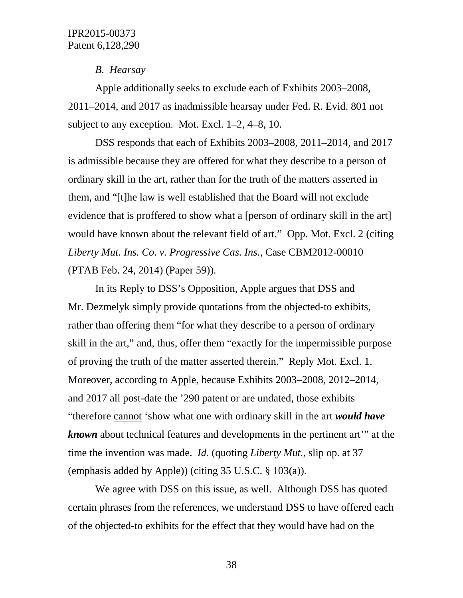#### *B. Hearsay*

Apple additionally seeks to exclude each of Exhibits 2003–2008, 2011–2014, and 2017 as inadmissible hearsay under Fed. R. Evid. 801 not subject to any exception. Mot. Excl. 1–2, 4–8, 10.

DSS responds that each of Exhibits 2003–2008, 2011–2014, and 2017 is admissible because they are offered for what they describe to a person of ordinary skill in the art, rather than for the truth of the matters asserted in them, and "[t]he law is well established that the Board will not exclude evidence that is proffered to show what a [person of ordinary skill in the art] would have known about the relevant field of art." Opp. Mot. Excl. 2 (citing *Liberty Mut. Ins. Co. v. Progressive Cas. Ins.*, Case CBM2012-00010 (PTAB Feb. 24, 2014) (Paper 59)).

In its Reply to DSS's Opposition, Apple argues that DSS and Mr. Dezmelyk simply provide quotations from the objected-to exhibits, rather than offering them "for what they describe to a person of ordinary skill in the art," and, thus, offer them "exactly for the impermissible purpose of proving the truth of the matter asserted therein." Reply Mot. Excl. 1. Moreover, according to Apple, because Exhibits 2003–2008, 2012–2014, and 2017 all post-date the '290 patent or are undated, those exhibits "therefore cannot 'show what one with ordinary skill in the art *would have known* about technical features and developments in the pertinent art'" at the time the invention was made. *Id.* (quoting *Liberty Mut.*, slip op. at 37 (emphasis added by Apple)) (citing 35 U.S.C. § 103(a)).

We agree with DSS on this issue, as well. Although DSS has quoted certain phrases from the references, we understand DSS to have offered each of the objected-to exhibits for the effect that they would have had on the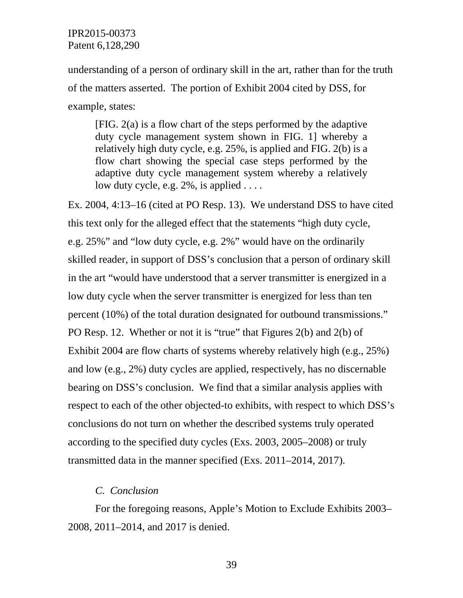understanding of a person of ordinary skill in the art, rather than for the truth of the matters asserted. The portion of Exhibit 2004 cited by DSS, for example, states:

[FIG. 2(a) is a flow chart of the steps performed by the adaptive duty cycle management system shown in FIG. 1] whereby a relatively high duty cycle, e.g. 25%, is applied and FIG. 2(b) is a flow chart showing the special case steps performed by the adaptive duty cycle management system whereby a relatively low duty cycle, e.g. 2%, is applied ....

Ex. 2004, 4:13–16 (cited at PO Resp. 13). We understand DSS to have cited this text only for the alleged effect that the statements "high duty cycle, e.g. 25%" and "low duty cycle, e.g. 2%" would have on the ordinarily skilled reader, in support of DSS's conclusion that a person of ordinary skill in the art "would have understood that a server transmitter is energized in a low duty cycle when the server transmitter is energized for less than ten percent (10%) of the total duration designated for outbound transmissions." PO Resp. 12. Whether or not it is "true" that Figures 2(b) and 2(b) of Exhibit 2004 are flow charts of systems whereby relatively high (e.g., 25%) and low (e.g., 2%) duty cycles are applied, respectively, has no discernable bearing on DSS's conclusion. We find that a similar analysis applies with respect to each of the other objected-to exhibits, with respect to which DSS's conclusions do not turn on whether the described systems truly operated according to the specified duty cycles (Exs. 2003, 2005–2008) or truly transmitted data in the manner specified (Exs. 2011–2014, 2017).

### *C. Conclusion*

For the foregoing reasons, Apple's Motion to Exclude Exhibits 2003– 2008, 2011–2014, and 2017 is denied.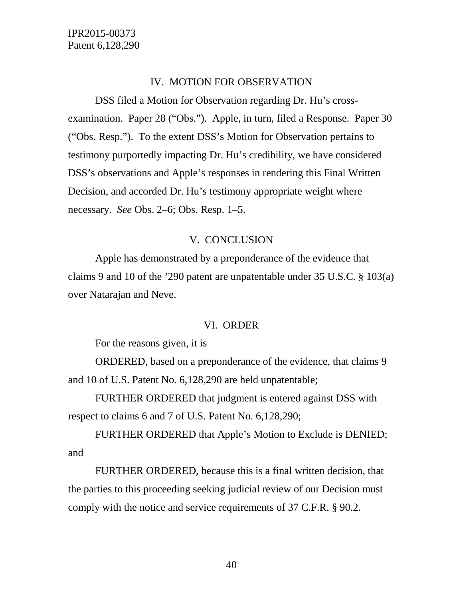#### IV. MOTION FOR OBSERVATION

DSS filed a Motion for Observation regarding Dr. Hu's crossexamination. Paper 28 ("Obs."). Apple, in turn, filed a Response. Paper 30 ("Obs. Resp."). To the extent DSS's Motion for Observation pertains to testimony purportedly impacting Dr. Hu's credibility, we have considered DSS's observations and Apple's responses in rendering this Final Written Decision, and accorded Dr. Hu's testimony appropriate weight where necessary. *See* Obs. 2–6; Obs. Resp. 1–5.

#### V. CONCLUSION

Apple has demonstrated by a preponderance of the evidence that claims 9 and 10 of the '290 patent are unpatentable under 35 U.S.C. § 103(a) over Natarajan and Neve.

#### VI. ORDER

For the reasons given, it is

ORDERED, based on a preponderance of the evidence, that claims 9 and 10 of U.S. Patent No. 6,128,290 are held unpatentable;

FURTHER ORDERED that judgment is entered against DSS with respect to claims 6 and 7 of U.S. Patent No. 6,128,290;

FURTHER ORDERED that Apple's Motion to Exclude is DENIED; and

FURTHER ORDERED, because this is a final written decision, that the parties to this proceeding seeking judicial review of our Decision must comply with the notice and service requirements of 37 C.F.R. § 90.2.